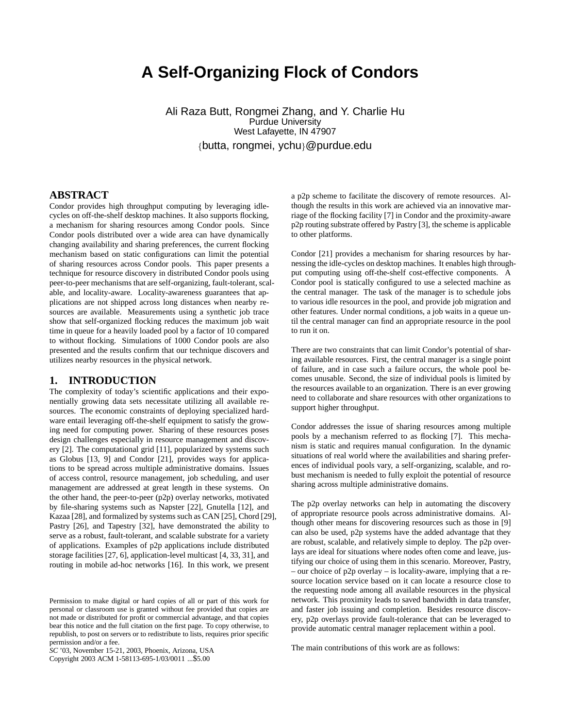# **A Self-Organizing Flock of Condors**

Ali Raza Butt, Rongmei Zhang, and Y. Charlie Hu Purdue University West Lafayette, IN 47907 {butta, rongmei, ychu}@purdue.edu

#### **ABSTRACT**

Condor provides high throughput computing by leveraging idlecycles on off-the-shelf desktop machines. It also supports flocking, a mechanism for sharing resources among Condor pools. Since Condor pools distributed over a wide area can have dynamically changing availability and sharing preferences, the current flocking mechanism based on static configurations can limit the potential of sharing resources across Condor pools. This paper presents a technique for resource discovery in distributed Condor pools using peer-to-peer mechanisms that are self-organizing, fault-tolerant, scalable, and locality-aware. Locality-awareness guarantees that applications are not shipped across long distances when nearby resources are available. Measurements using a synthetic job trace show that self-organized flocking reduces the maximum job wait time in queue for a heavily loaded pool by a factor of 10 compared to without flocking. Simulations of 1000 Condor pools are also presented and the results confirm that our technique discovers and utilizes nearby resources in the physical network.

### **1. INTRODUCTION**

The complexity of today's scientific applications and their exponentially growing data sets necessitate utilizing all available resources. The economic constraints of deploying specialized hardware entail leveraging off-the-shelf equipment to satisfy the growing need for computing power. Sharing of these resources poses design challenges especially in resource management and discovery [2]. The computational grid [11], popularized by systems such as Globus [13, 9] and Condor [21], provides ways for applications to be spread across multiple administrative domains. Issues of access control, resource management, job scheduling, and user management are addressed at great length in these systems. On the other hand, the peer-to-peer (p2p) overlay networks, motivated by file-sharing systems such as Napster [22], Gnutella [12], and Kazaa [28], and formalized by systems such as CAN [25], Chord [29], Pastry [26], and Tapestry [32], have demonstrated the ability to serve as a robust, fault-tolerant, and scalable substrate for a variety of applications. Examples of p2p applications include distributed storage facilities [27, 6], application-level multicast [4, 33, 31], and routing in mobile ad-hoc networks [16]. In this work, we present

*SC* '03, November 15-21, 2003, Phoenix, Arizona, USA

Copyright 2003 ACM 1-58113-695-1/03/0011 ...\$5.00

a p2p scheme to facilitate the discovery of remote resources. Although the results in this work are achieved via an innovative marriage of the flocking facility [7] in Condor and the proximity-aware p2p routing substrate offered by Pastry [3], the scheme is applicable to other platforms.

Condor [21] provides a mechanism for sharing resources by harnessing the idle-cycles on desktop machines. It enables high throughput computing using off-the-shelf cost-effective components. A Condor pool is statically configured to use a selected machine as the central manager. The task of the manager is to schedule jobs to various idle resources in the pool, and provide job migration and other features. Under normal conditions, a job waits in a queue until the central manager can find an appropriate resource in the pool to run it on.

There are two constraints that can limit Condor's potential of sharing available resources. First, the central manager is a single point of failure, and in case such a failure occurs, the whole pool becomes unusable. Second, the size of individual pools is limited by the resources available to an organization. There is an ever growing need to collaborate and share resources with other organizations to support higher throughput.

Condor addresses the issue of sharing resources among multiple pools by a mechanism referred to as flocking [7]. This mechanism is static and requires manual configuration. In the dynamic situations of real world where the availabilities and sharing preferences of individual pools vary, a self-organizing, scalable, and robust mechanism is needed to fully exploit the potential of resource sharing across multiple administrative domains.

The p2p overlay networks can help in automating the discovery of appropriate resource pools across administrative domains. Although other means for discovering resources such as those in [9] can also be used, p2p systems have the added advantage that they are robust, scalable, and relatively simple to deploy. The p2p overlays are ideal for situations where nodes often come and leave, justifying our choice of using them in this scenario. Moreover, Pastry, – our choice of p2p overlay – is locality-aware, implying that a resource location service based on it can locate a resource close to the requesting node among all available resources in the physical network. This proximity leads to saved bandwidth in data transfer, and faster job issuing and completion. Besides resource discovery, p2p overlays provide fault-tolerance that can be leveraged to provide automatic central manager replacement within a pool.

The main contributions of this work are as follows:

Permission to make digital or hard copies of all or part of this work for personal or classroom use is granted without fee provided that copies are not made or distributed for profit or commercial advantage, and that copies bear this notice and the full citation on the first page. To copy otherwise, to republish, to post on servers or to redistribute to lists, requires prior specific permission and/or a fee.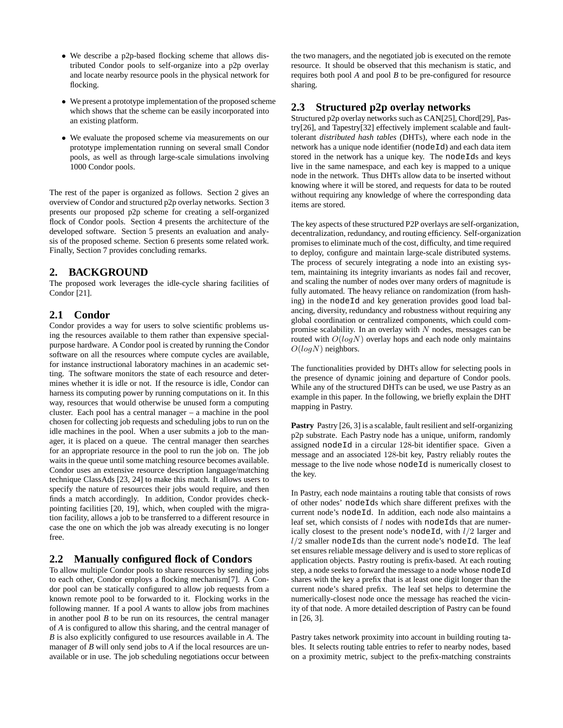- We describe a p2p-based flocking scheme that allows distributed Condor pools to self-organize into a p2p overlay and locate nearby resource pools in the physical network for flocking.
- We present a prototype implementation of the proposed scheme which shows that the scheme can be easily incorporated into an existing platform.
- We evaluate the proposed scheme via measurements on our prototype implementation running on several small Condor pools, as well as through large-scale simulations involving 1000 Condor pools.

The rest of the paper is organized as follows. Section 2 gives an overview of Condor and structured p2p overlay networks. Section 3 presents our proposed p2p scheme for creating a self-organized flock of Condor pools. Section 4 presents the architecture of the developed software. Section 5 presents an evaluation and analysis of the proposed scheme. Section 6 presents some related work. Finally, Section 7 provides concluding remarks.

# **2. BACKGROUND**

The proposed work leverages the idle-cycle sharing facilities of Condor [21].

### **2.1 Condor**

Condor provides a way for users to solve scientific problems using the resources available to them rather than expensive specialpurpose hardware. A Condor pool is created by running the Condor software on all the resources where compute cycles are available, for instance instructional laboratory machines in an academic setting. The software monitors the state of each resource and determines whether it is idle or not. If the resource is idle, Condor can harness its computing power by running computations on it. In this way, resources that would otherwise be unused form a computing cluster. Each pool has a central manager – a machine in the pool chosen for collecting job requests and scheduling jobs to run on the idle machines in the pool. When a user submits a job to the manager, it is placed on a queue. The central manager then searches for an appropriate resource in the pool to run the job on. The job waits in the queue until some matching resource becomes available. Condor uses an extensive resource description language/matching technique ClassAds [23, 24] to make this match. It allows users to specify the nature of resources their jobs would require, and then finds a match accordingly. In addition, Condor provides checkpointing facilities [20, 19], which, when coupled with the migration facility, allows a job to be transferred to a different resource in case the one on which the job was already executing is no longer free.

### **2.2 Manually configured flock of Condors**

To allow multiple Condor pools to share resources by sending jobs to each other, Condor employs a flocking mechanism[7]. A Condor pool can be statically configured to allow job requests from a known remote pool to be forwarded to it. Flocking works in the following manner. If a pool *A* wants to allow jobs from machines in another pool  $B$  to be run on its resources, the central manager of *A* is configured to allow this sharing, and the central manager of *B* is also explicitly configured to use resources available in *A*. The manager of *B* will only send jobs to *A* if the local resources are unavailable or in use. The job scheduling negotiations occur between

the two managers, and the negotiated job is executed on the remote resource. It should be observed that this mechanism is static, and requires both pool *A* and pool *B* to be pre-configured for resource sharing.

# **2.3 Structured p2p overlay networks**

Structured p2p overlay networks such as CAN[25], Chord[29], Pastry[26], and Tapestry[32] effectively implement scalable and faulttolerant *distributed hash tables* (DHTs), where each node in the network has a unique node identifier (nodeId) and each data item stored in the network has a unique key. The nodeIds and keys live in the same namespace, and each key is mapped to a unique node in the network. Thus DHTs allow data to be inserted without knowing where it will be stored, and requests for data to be routed without requiring any knowledge of where the corresponding data items are stored.

The key aspects of these structured P2P overlays are self-organization, decentralization, redundancy, and routing efficiency. Self-organization promises to eliminate much of the cost, difficulty, and time required to deploy, configure and maintain large-scale distributed systems. The process of securely integrating a node into an existing system, maintaining its integrity invariants as nodes fail and recover, and scaling the number of nodes over many orders of magnitude is fully automated. The heavy reliance on randomization (from hashing) in the nodeId and key generation provides good load balancing, diversity, redundancy and robustness without requiring any global coordination or centralized components, which could compromise scalability. In an overlay with  $N$  nodes, messages can be routed with  $O(logN)$  overlay hops and each node only maintains  $O(logN)$  neighbors.

The functionalities provided by DHTs allow for selecting pools in the presence of dynamic joining and departure of Condor pools. While any of the structured DHTs can be used, we use Pastry as an example in this paper. In the following, we briefly explain the DHT mapping in Pastry.

**Pastry** Pastry [26, 3] is a scalable, fault resilient and self-organizing p2p substrate. Each Pastry node has a unique, uniform, randomly assigned nodeId in a circular 128-bit identifier space. Given a message and an associated 128-bit key, Pastry reliably routes the message to the live node whose nodeId is numerically closest to the key.

In Pastry, each node maintains a routing table that consists of rows of other nodes' nodeIds which share different prefixes with the current node's nodeId. In addition, each node also maintains a leaf set, which consists of  $l$  nodes with nodeIds that are numerically closest to the present node's node<sup>Id</sup>, with  $l/2$  larger and  $l/2$  smaller nodeIds than the current node's nodeId. The leaf set ensures reliable message delivery and is used to store replicas of application objects. Pastry routing is prefix-based. At each routing step, a node seeks to forward the message to a node whose nodeId shares with the key a prefix that is at least one digit longer than the current node's shared prefix. The leaf set helps to determine the numerically-closest node once the message has reached the vicinity of that node. A more detailed description of Pastry can be found in [26, 3].

Pastry takes network proximity into account in building routing tables. It selects routing table entries to refer to nearby nodes, based on a proximity metric, subject to the prefix-matching constraints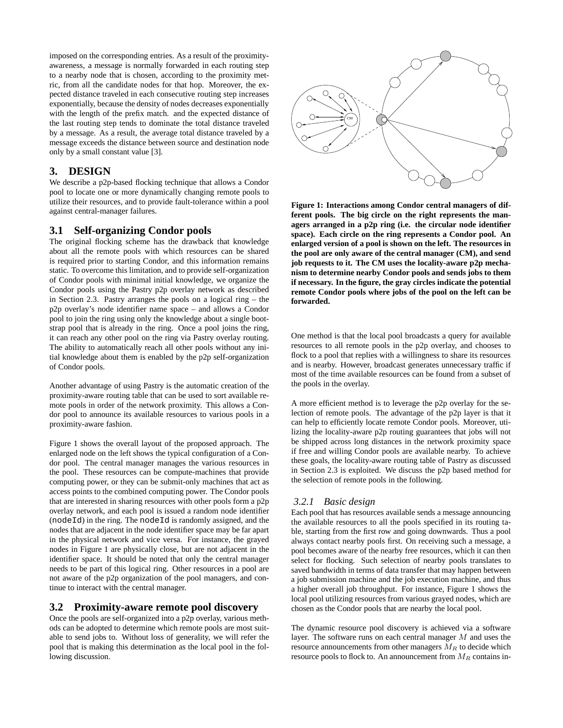imposed on the corresponding entries. As a result of the proximityawareness, a message is normally forwarded in each routing step to a nearby node that is chosen, according to the proximity metric, from all the candidate nodes for that hop. Moreover, the expected distance traveled in each consecutive routing step increases exponentially, because the density of nodes decreases exponentially with the length of the prefix match. and the expected distance of the last routing step tends to dominate the total distance traveled by a message. As a result, the average total distance traveled by a message exceeds the distance between source and destination node only by a small constant value [3].

# **3. DESIGN**

We describe a p2p-based flocking technique that allows a Condor pool to locate one or more dynamically changing remote pools to utilize their resources, and to provide fault-tolerance within a pool against central-manager failures.

### **3.1 Self-organizing Condor pools**

The original flocking scheme has the drawback that knowledge about all the remote pools with which resources can be shared is required prior to starting Condor, and this information remains static. To overcome this limitation, and to provide self-organization of Condor pools with minimal initial knowledge, we organize the Condor pools using the Pastry p2p overlay network as described in Section 2.3. Pastry arranges the pools on a logical ring – the p2p overlay's node identifier name space – and allows a Condor pool to join the ring using only the knowledge about a single bootstrap pool that is already in the ring. Once a pool joins the ring, it can reach any other pool on the ring via Pastry overlay routing. The ability to automatically reach all other pools without any initial knowledge about them is enabled by the p2p self-organization of Condor pools.

Another advantage of using Pastry is the automatic creation of the proximity-aware routing table that can be used to sort available remote pools in order of the network proximity. This allows a Condor pool to announce its available resources to various pools in a proximity-aware fashion.

Figure 1 shows the overall layout of the proposed approach. The enlarged node on the left shows the typical configuration of a Condor pool. The central manager manages the various resources in the pool. These resources can be compute-machines that provide computing power, or they can be submit-only machines that act as access points to the combined computing power. The Condor pools that are interested in sharing resources with other pools form a p2p overlay network, and each pool is issued a random node identifier (nodeId) in the ring. The nodeId is randomly assigned, and the nodes that are adjacent in the node identifier space may be far apart in the physical network and vice versa. For instance, the grayed nodes in Figure 1 are physically close, but are not adjacent in the identifier space. It should be noted that only the central manager needs to be part of this logical ring. Other resources in a pool are not aware of the p2p organization of the pool managers, and continue to interact with the central manager.

### **3.2 Proximity-aware remote pool discovery**

Once the pools are self-organized into a p2p overlay, various methods can be adopted to determine which remote pools are most suitable to send jobs to. Without loss of generality, we will refer the pool that is making this determination as the local pool in the following discussion.



**Figure 1: Interactions among Condor central managers of different pools. The big circle on the right represents the managers arranged in a p2p ring (i.e. the circular node identifier space). Each circle on the ring represents a Condor pool. An enlarged version of a pool is shown on the left. The resources in the pool are only aware of the central manager (CM), and send job requests to it. The CM uses the locality-aware p2p mechanism to determine nearby Condor pools and sends jobs to them if necessary. In the figure, the gray circles indicate the potential remote Condor pools where jobs of the pool on the left can be forwarded.**

One method is that the local pool broadcasts a query for available resources to all remote pools in the p2p overlay, and chooses to flock to a pool that replies with a willingness to share its resources and is nearby. However, broadcast generates unnecessary traffic if most of the time available resources can be found from a subset of the pools in the overlay.

A more efficient method is to leverage the p2p overlay for the selection of remote pools. The advantage of the p2p layer is that it can help to efficiently locate remote Condor pools. Moreover, utilizing the locality-aware p2p routing guarantees that jobs will not be shipped across long distances in the network proximity space if free and willing Condor pools are available nearby. To achieve these goals, the locality-aware routing table of Pastry as discussed in Section 2.3 is exploited. We discuss the p2p based method for the selection of remote pools in the following.

#### *3.2.1 Basic design*

Each pool that has resources available sends a message announcing the available resources to all the pools specified in its routing table, starting from the first row and going downwards. Thus a pool always contact nearby pools first. On receiving such a message, a pool becomes aware of the nearby free resources, which it can then select for flocking. Such selection of nearby pools translates to saved bandwidth in terms of data transfer that may happen between a job submission machine and the job execution machine, and thus a higher overall job throughput. For instance, Figure 1 shows the local pool utilizing resources from various grayed nodes, which are chosen as the Condor pools that are nearby the local pool.

The dynamic resource pool discovery is achieved via a software layer. The software runs on each central manager M and uses the resource announcements from other managers  $M_R$  to decide which resource pools to flock to. An announcement from  $M_R$  contains in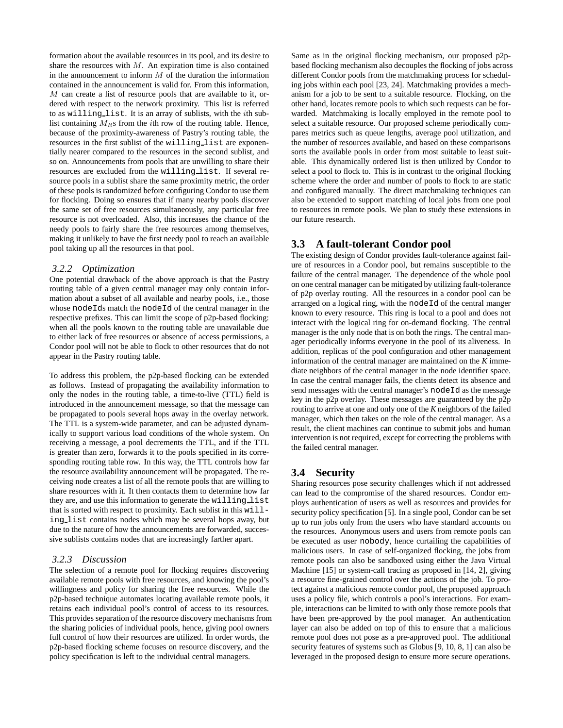formation about the available resources in its pool, and its desire to share the resources with  $M$ . An expiration time is also contained in the announcement to inform  $M$  of the duration the information contained in the announcement is valid for. From this information, M can create a list of resource pools that are available to it, ordered with respect to the network proximity. This list is referred to as willing list. It is an array of sublists, with the ith sublist containing  $M_{R}s$  from the *i*th row of the routing table. Hence, because of the proximity-awareness of Pastry's routing table, the resources in the first sublist of the willing list are exponentially nearer compared to the resources in the second sublist, and so on. Announcements from pools that are unwilling to share their resources are excluded from the willing list. If several resource pools in a sublist share the same proximity metric, the order of these pools israndomized before configuring Condor to use them for flocking. Doing so ensures that if many nearby pools discover the same set of free resources simultaneously, any particular free resource is not overloaded. Also, this increases the chance of the needy pools to fairly share the free resources among themselves, making it unlikely to have the first needy pool to reach an available pool taking up all the resources in that pool.

#### *3.2.2 Optimization*

One potential drawback of the above approach is that the Pastry routing table of a given central manager may only contain information about a subset of all available and nearby pools, i.e., those whose nodeIds match the nodeId of the central manager in the respective prefixes. This can limit the scope of p2p-based flocking: when all the pools known to the routing table are unavailable due to either lack of free resources or absence of access permissions, a Condor pool will not be able to flock to other resources that do not appear in the Pastry routing table.

To address this problem, the p2p-based flocking can be extended as follows. Instead of propagating the availability information to only the nodes in the routing table, a time-to-live (TTL) field is introduced in the announcement message, so that the message can be propagated to pools several hops away in the overlay network. The TTL is a system-wide parameter, and can be adjusted dynamically to support various load conditions of the whole system. On receiving a message, a pool decrements the TTL, and if the TTL is greater than zero, forwards it to the pools specified in its corresponding routing table row. In this way, the TTL controls how far the resource availability announcement will be propagated. The receiving node creates a list of all the remote pools that are willing to share resources with it. It then contacts them to determine how far they are, and use this information to generate the willing list that is sorted with respect to proximity. Each sublist in this willing list contains nodes which may be several hops away, but due to the nature of how the announcements are forwarded, successive sublists contains nodes that are increasingly farther apart.

#### *3.2.3 Discussion*

The selection of a remote pool for flocking requires discovering available remote pools with free resources, and knowing the pool's willingness and policy for sharing the free resources. While the p2p-based technique automates locating available remote pools, it retains each individual pool's control of access to its resources. This provides separation of the resource discovery mechanisms from the sharing policies of individual pools, hence, giving pool owners full control of how their resources are utilized. In order words, the p2p-based flocking scheme focuses on resource discovery, and the policy specification is left to the individual central managers.

Same as in the original flocking mechanism, our proposed p2pbased flocking mechanism also decouples the flocking of jobs across different Condor pools from the matchmaking process for scheduling jobs within each pool [23, 24]. Matchmaking provides a mechanism for a job to be sent to a suitable resource. Flocking, on the other hand, locates remote pools to which such requests can be forwarded. Matchmaking is locally employed in the remote pool to select a suitable resource. Our proposed scheme periodically compares metrics such as queue lengths, average pool utilization, and the number of resources available, and based on these comparisons sorts the available pools in order from most suitable to least suitable. This dynamically ordered list is then utilized by Condor to select a pool to flock to. This is in contrast to the original flocking scheme where the order and number of pools to flock to are static and configured manually. The direct matchmaking techniques can also be extended to support matching of local jobs from one pool to resources in remote pools. We plan to study these extensions in our future research.

# **3.3 A fault-tolerant Condor pool**

The existing design of Condor provides fault-tolerance against failure of resources in a Condor pool, but remains susceptible to the failure of the central manager. The dependence of the whole pool on one central manager can be mitigated by utilizing fault-tolerance of p2p overlay routing. All the resources in a condor pool can be arranged on a logical ring, with the nodeId of the central manger known to every resource. This ring is local to a pool and does not interact with the logical ring for on-demand flocking. The central manager is the only node that is on both the rings. The central manager periodically informs everyone in the pool of its aliveness. In addition, replicas of the pool configuration and other management information of the central manager are maintained on the *K* immediate neighbors of the central manager in the node identifier space. In case the central manager fails, the clients detect its absence and send messages with the central manager's nodeId as the message key in the p2p overlay. These messages are guaranteed by the p2p routing to arrive at one and only one of the *K* neighbors of the failed manager, which then takes on the role of the central manager. As a result, the client machines can continue to submit jobs and human intervention is not required, except for correcting the problems with the failed central manager.

### **3.4 Security**

Sharing resources pose security challenges which if not addressed can lead to the compromise of the shared resources. Condor employs authentication of users as well as resources and provides for security policy specification [5]. In a single pool, Condor can be set up to run jobs only from the users who have standard accounts on the resources. Anonymous users and users from remote pools can be executed as user nobody, hence curtailing the capabilities of malicious users. In case of self-organized flocking, the jobs from remote pools can also be sandboxed using either the Java Virtual Machine [15] or system-call tracing as proposed in [14, 2], giving a resource fine-grained control over the actions of the job. To protect against a malicious remote condor pool, the proposed approach uses a policy file, which controls a pool's interactions. For example, interactions can be limited to with only those remote pools that have been pre-approved by the pool manager. An authentication layer can also be added on top of this to ensure that a malicious remote pool does not pose as a pre-approved pool. The additional security features of systems such as Globus [9, 10, 8, 1] can also be leveraged in the proposed design to ensure more secure operations.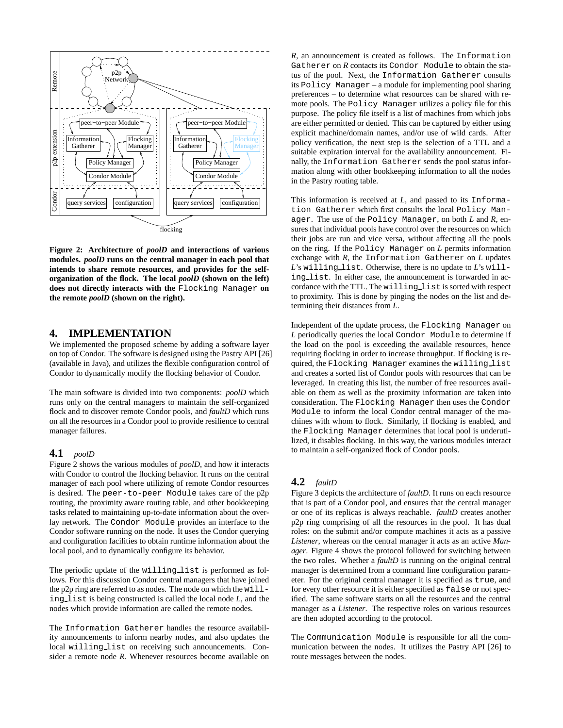

**Figure 2: Architecture of** *poolD* **and interactions of various modules.** *poolD* **runs on the central manager in each pool that intends to share remote resources, and provides for the selforganization of the flock. The local** *poolD* **(shown on the left) does not directly interacts with the** Flocking Manager **on the remote** *poolD* **(shown on the right).**

# **4. IMPLEMENTATION**

We implemented the proposed scheme by adding a software layer on top of Condor. The software is designed using the Pastry API [26] (available in Java), and utilizes the flexible configuration control of Condor to dynamically modify the flocking behavior of Condor.

The main software is divided into two components: *poolD* which runs only on the central managers to maintain the self-organized flock and to discover remote Condor pools, and *faultD* which runs on all the resources in a Condor pool to provide resilience to central manager failures.

### **4.1** *poolD*

Figure 2 shows the various modules of *poolD*, and how it interacts with Condor to control the flocking behavior. It runs on the central manager of each pool where utilizing of remote Condor resources is desired. The peer-to-peer Module takes care of the p2p routing, the proximity aware routing table, and other bookkeeping tasks related to maintaining up-to-date information about the overlay network. The Condor Module provides an interface to the Condor software running on the node. It uses the Condor querying and configuration facilities to obtain runtime information about the local pool, and to dynamically configure its behavior.

The periodic update of the willing list is performed as follows. For this discussion Condor central managers that have joined the p2p ring are referred to as nodes. The node on which the willing list is being constructed is called the local node *L*, and the nodes which provide information are called the remote nodes.

The Information Gatherer handles the resource availability announcements to inform nearby nodes, and also updates the local willing list on receiving such announcements. Consider a remote node *R*. Whenever resources become available on

*R*, an announcement is created as follows. The Information Gatherer on *R* contacts its Condor Module to obtain the status of the pool. Next, the Information Gatherer consults its Policy Manager – a module for implementing pool sharing preferences – to determine what resources can be shared with remote pools. The Policy Manager utilizes a policy file for this purpose. The policy file itself is a list of machines from which jobs are either permitted or denied. This can be captured by either using explicit machine/domain names, and/or use of wild cards. After policy verification, the next step is the selection of a TTL and a suitable expiration interval for the availability announcement. Finally, the Information Gatherer sends the pool status information along with other bookkeeping information to all the nodes in the Pastry routing table.

This information is received at *L*, and passed to its Information Gatherer which first consults the local Policy Manager. The use of the Policy Manager, on both *L* and *R*, ensures that individual pools have control over the resources on which their jobs are run and vice versa, without affecting all the pools on the ring. If the Policy Manager on *L* permits information exchange with *R*, the Information Gatherer on *L* updates *L*'s willing list. Otherwise, there is no update to *L*'s willing list. In either case, the announcement is forwarded in accordance with the TTL. The willing list is sorted with respect to proximity. This is done by pinging the nodes on the list and determining their distances from *L*.

Independent of the update process, the Flocking Manager on *L* periodically queries the local Condor Module to determine if the load on the pool is exceeding the available resources, hence requiring flocking in order to increase throughput. If flocking is required, the Flocking Manager examines the willing list and creates a sorted list of Condor pools with resources that can be leveraged. In creating this list, the number of free resources available on them as well as the proximity information are taken into consideration. The Flocking Manager then uses the Condor Module to inform the local Condor central manager of the machines with whom to flock. Similarly, if flocking is enabled, and the Flocking Manager determines that local pool is underutilized, it disables flocking. In this way, the various modules interact to maintain a self-organized flock of Condor pools.

### **4.2** *faultD*

Figure 3 depicts the architecture of *faultD*. It runs on each resource that is part of a Condor pool, and ensures that the central manager or one of its replicas is always reachable. *faultD* creates another p2p ring comprising of all the resources in the pool. It has dual roles: on the submit and/or compute machines it acts as a passive *Listener*, whereas on the central manager it acts as an active *Manager*. Figure 4 shows the protocol followed for switching between the two roles. Whether a *faultD* is running on the original central manager is determined from a command line configuration parameter. For the original central manager it is specified as true, and for every other resource it is either specified as false or not specified. The same software starts on all the resources and the central manager as a *Listener*. The respective roles on various resources are then adopted according to the protocol.

The Communication Module is responsible for all the communication between the nodes. It utilizes the Pastry API [26] to route messages between the nodes.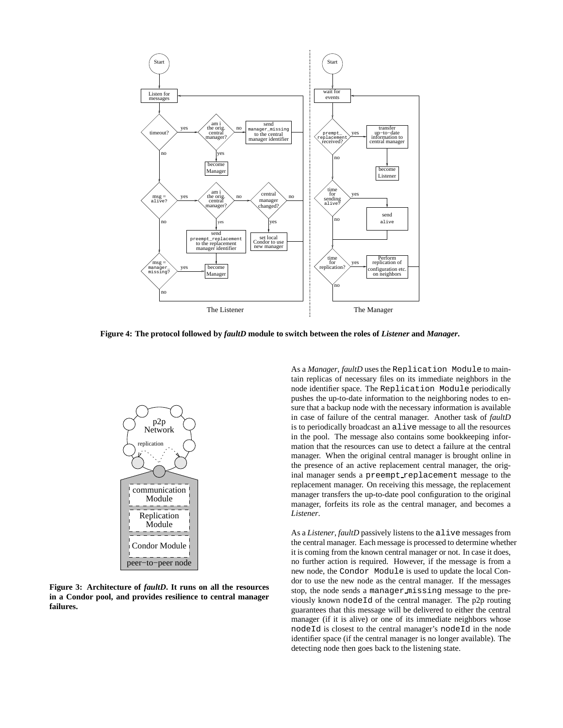

Figure 4: The protocol followed by faultD module to switch between the roles of Listener and Manager.



**Figure 3: Architecture of** *faultD***. It runs on all the resources in a Condor pool, and provides resilience to central manager failures.**

As a *Manager*, *faultD* uses the Replication Module to maintain replicas of necessary files on its immediate neighbors in the node identifier space. The Replication Module periodically pushes the up-to-date information to the neighboring nodes to ensure that a backup node with the necessary information is available in case of failure of the central manager. Another task of *faultD* is to periodically broadcast an alive message to all the resources in the pool. The message also contains some bookkeeping information that the resources can use to detect a failure at the central manager. When the original central manager is brought online in the presence of an active replacement central manager, the original manager sends a preempt\_replacement message to the replacement manager. On receiving this message, the replacement manager transfers the up-to-date pool configuration to the original manager, forfeits its role as the central manager, and becomes a *Listener*.

As a *Listener*, *faultD* passively listens to the alive messages from the central manager. Each message is processed to determine whether it is coming from the known central manager or not. In case it does, no further action is required. However, if the message is from a new node, the Condor Module is used to update the local Condor to use the new node as the central manager. If the messages stop, the node sends a manager missing message to the previously known nodeId of the central manager. The p2p routing guarantees that this message will be delivered to either the central manager (if it is alive) or one of its immediate neighbors whose nodeId is closest to the central manager's nodeId in the node identifier space (if the central manager is no longer available). The detecting node then goes back to the listening state.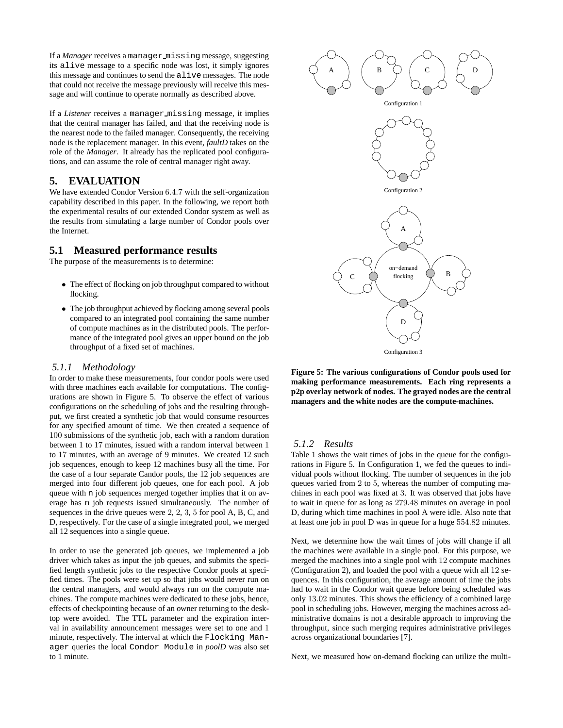If a *Manager* receives a manager missing message, suggesting its alive message to a specific node was lost, it simply ignores this message and continues to send the alive messages. The node that could not receive the message previously will receive this message and will continue to operate normally as described above.

If a *Listener* receives a manager missing message, it implies that the central manager has failed, and that the receiving node is the nearest node to the failed manager. Consequently, the receiving node is the replacement manager. In this event, *faultD* takes on the role of the *Manager*. It already has the replicated pool configurations, and can assume the role of central manager right away.

### **5. EVALUATION**

We have extended Condor Version 6.4.7 with the self-organization capability described in this paper. In the following, we report both the experimental results of our extended Condor system as well as the results from simulating a large number of Condor pools over the Internet.

# **5.1 Measured performance results**

The purpose of the measurements is to determine:

- The effect of flocking on job throughput compared to without flocking.
- The job throughput achieved by flocking among several pools compared to an integrated pool containing the same number of compute machines as in the distributed pools. The performance of the integrated pool gives an upper bound on the job throughput of a fixed set of machines.

#### *5.1.1 Methodology*

In order to make these measurements, four condor pools were used with three machines each available for computations. The configurations are shown in Figure 5. To observe the effect of various configurations on the scheduling of jobs and the resulting throughput, we first created a synthetic job that would consume resources for any specified amount of time. We then created a sequence of 100 submissions of the synthetic job, each with a random duration between 1 to 17 minutes, issued with a random interval between 1 to 17 minutes, with an average of 9 minutes. We created 12 such job sequences, enough to keep 12 machines busy all the time. For the case of a four separate Candor pools, the 12 job sequences are merged into four different job queues, one for each pool. A job queue with n job sequences merged together implies that it on average has n job requests issued simultaneously. The number of sequences in the drive queues were 2, 2, 3, 5 for pool A, B, C, and D, respectively. For the case of a single integrated pool, we merged all 12 sequences into a single queue.

In order to use the generated job queues, we implemented a job driver which takes as input the job queues, and submits the specified length synthetic jobs to the respective Condor pools at specified times. The pools were set up so that jobs would never run on the central managers, and would always run on the compute machines. The compute machines were dedicated to these jobs, hence, effects of checkpointing because of an owner returning to the desktop were avoided. The TTL parameter and the expiration interval in availability announcement messages were set to one and 1 minute, respectively. The interval at which the Flocking Manager queries the local Condor Module in *poolD* was also set to 1 minute.



**Figure 5: The various configurations of Condor pools used for making performance measurements. Each ring represents a p2p overlay network of nodes. The grayed nodes are the central managers and the white nodes are the compute-machines.**

#### *5.1.2 Results*

Table 1 shows the wait times of jobs in the queue for the configurations in Figure 5. In Configuration 1, we fed the queues to individual pools without flocking. The number of sequences in the job queues varied from 2 to 5, whereas the number of computing machines in each pool was fixed at 3. It was observed that jobs have to wait in queue for as long as 279.48 minutes on average in pool D, during which time machines in pool A were idle. Also note that at least one job in pool D was in queue for a huge 554.82 minutes.

Next, we determine how the wait times of jobs will change if all the machines were available in a single pool. For this purpose, we merged the machines into a single pool with 12 compute machines (Configuration 2), and loaded the pool with a queue with all 12 sequences. In this configuration, the average amount of time the jobs had to wait in the Condor wait queue before being scheduled was only 13.02 minutes. This shows the efficiency of a combined large pool in scheduling jobs. However, merging the machines across administrative domains is not a desirable approach to improving the throughput, since such merging requires administrative privileges across organizational boundaries [7].

Next, we measured how on-demand flocking can utilize the multi-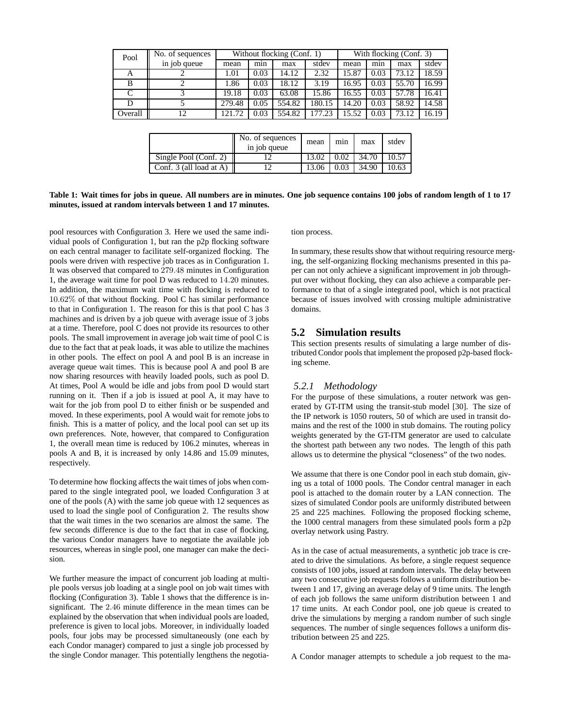| Pool    | No. of sequences | Without flocking (Conf. 1) |      |        |        | With flocking (Conf. 3) |      |       |       |
|---------|------------------|----------------------------|------|--------|--------|-------------------------|------|-------|-------|
|         | in job queue     | mean                       | min  | max    | stdev  | mean                    | min  | max   | stdev |
| A       |                  | 1.01                       | 0.03 | 14.12  | 2.32   | 15.87                   | 0.03 | 73.12 | 18.59 |
| B       |                  | 1.86                       | 0.03 | 18.12  | 3.19   | 16.95                   | 0.03 | 55.70 | 16.99 |
| C       |                  | 19.18                      | 0.03 | 63.08  | 15.86  | 16.55                   | 0.03 | 57.78 | 16.41 |
|         |                  | 279.48                     | 0.05 | 554.82 | 180.15 | 14.20                   | 0.03 | 58.92 | 14.58 |
| Overall | 12               | 121.72                     | 0.03 | 554.82 | 177.23 | 15.52                   | 0.03 | 73.12 | 16.19 |

|                           | No. of sequences<br>in job queue | mean | min | max   | stdev |
|---------------------------|----------------------------------|------|-----|-------|-------|
| Single Pool (Conf. 2)     |                                  |      |     | 34.70 | 10.57 |
| Conf. $3$ (all load at A) |                                  |      |     | 34.90 |       |

Table 1: Wait times for jobs in queue. All numbers are in minutes. One job sequence contains 100 jobs of random length of 1 to 17 **minutes, issued at random intervals between 1 and 17 minutes.**

pool resources with Configuration 3. Here we used the same individual pools of Configuration 1, but ran the p2p flocking software on each central manager to facilitate self-organized flocking. The pools were driven with respective job traces as in Configuration 1. It was observed that compared to 279.48 minutes in Configuration 1, the average wait time for pool D was reduced to 14.20 minutes. In addition, the maximum wait time with flocking is reduced to 10.62% of that without flocking. Pool C has similar performance to that in Configuration 1. The reason for this is that pool C has 3 machines and is driven by a job queue with average issue of 3 jobs at a time. Therefore, pool C does not provide its resources to other pools. The small improvement in average job wait time of pool C is due to the fact that at peak loads, it was able to utilize the machines in other pools. The effect on pool A and pool B is an increase in average queue wait times. This is because pool A and pool B are now sharing resources with heavily loaded pools, such as pool D. At times, Pool A would be idle and jobs from pool D would start running on it. Then if a job is issued at pool A, it may have to wait for the job from pool D to either finish or be suspended and moved. In these experiments, pool A would wait for remote jobs to finish. This is a matter of policy, and the local pool can set up its own preferences. Note, however, that compared to Configuration 1, the overall mean time is reduced by 106.2 minutes, whereas in pools A and B, it is increased by only 14.86 and 15.09 minutes, respectively.

To determine how flocking affects the wait times of jobs when compared to the single integrated pool, we loaded Configuration 3 at one of the pools (A) with the same job queue with 12 sequences as used to load the single pool of Configuration 2. The results show that the wait times in the two scenarios are almost the same. The few seconds difference is due to the fact that in case of flocking, the various Condor managers have to negotiate the available job resources, whereas in single pool, one manager can make the decision.

We further measure the impact of concurrent job loading at multiple pools versus job loading at a single pool on job wait times with flocking (Configuration 3). Table 1 shows that the difference is insignificant. The 2.46 minute difference in the mean times can be explained by the observation that when individual pools are loaded, preference is given to local jobs. Moreover, in individually loaded pools, four jobs may be processed simultaneously (one each by each Condor manager) compared to just a single job processed by the single Condor manager. This potentially lengthens the negotiation process.

In summary, these results show that without requiring resource merging, the self-organizing flocking mechanisms presented in this paper can not only achieve a significant improvement in job throughput over without flocking, they can also achieve a comparable performance to that of a single integrated pool, which is not practical because of issues involved with crossing multiple administrative domains.

#### **5.2 Simulation results**

This section presents results of simulating a large number of distributed Condor pools that implement the proposed p2p-based flocking scheme.

#### *5.2.1 Methodology*

For the purpose of these simulations, a router network was generated by GT-ITM using the transit-stub model [30]. The size of the IP network is 1050 routers, 50 of which are used in transit domains and the rest of the 1000 in stub domains. The routing policy weights generated by the GT-ITM generator are used to calculate the shortest path between any two nodes. The length of this path allows us to determine the physical "closeness" of the two nodes.

We assume that there is one Condor pool in each stub domain, giving us a total of 1000 pools. The Condor central manager in each pool is attached to the domain router by a LAN connection. The sizes of simulated Condor pools are uniformly distributed between 25 and 225 machines. Following the proposed flocking scheme, the 1000 central managers from these simulated pools form a p2p overlay network using Pastry.

As in the case of actual measurements, a synthetic job trace is created to drive the simulations. As before, a single request sequence consists of 100 jobs, issued at random intervals. The delay between any two consecutive job requests follows a uniform distribution between 1 and 17, giving an average delay of 9 time units. The length of each job follows the same uniform distribution between 1 and 17 time units. At each Condor pool, one job queue is created to drive the simulations by merging a random number of such single sequences. The number of single sequences follows a uniform distribution between 25 and 225.

A Condor manager attempts to schedule a job request to the ma-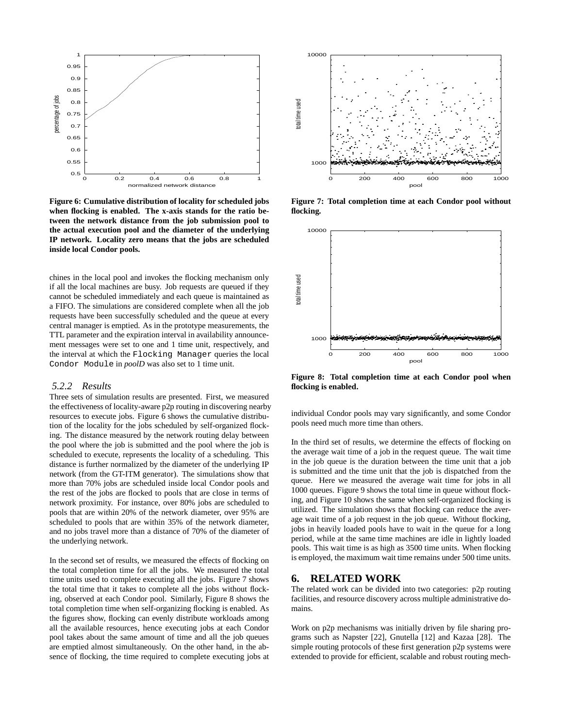

**Figure 6: Cumulative distribution of locality for scheduled jobs when flocking is enabled. The x-axis stands for the ratio between the network distance from the job submission pool to the actual execution pool and the diameter of the underlying IP network. Locality zero means that the jobs are scheduled inside local Condor pools.**

chines in the local pool and invokes the flocking mechanism only if all the local machines are busy. Job requests are queued if they cannot be scheduled immediately and each queue is maintained as a FIFO. The simulations are considered complete when all the job requests have been successfully scheduled and the queue at every central manager is emptied. As in the prototype measurements, the TTL parameter and the expiration interval in availability announcement messages were set to one and 1 time unit, respectively, and the interval at which the Flocking Manager queries the local Condor Module in *poolD* was also set to 1 time unit.

#### *5.2.2 Results*

Three sets of simulation results are presented. First, we measured the effectiveness of locality-aware p2p routing in discovering nearby resources to execute jobs. Figure 6 shows the cumulative distribution of the locality for the jobs scheduled by self-organized flocking. The distance measured by the network routing delay between the pool where the job is submitted and the pool where the job is scheduled to execute, represents the locality of a scheduling. This distance is further normalized by the diameter of the underlying IP network (from the GT-ITM generator). The simulations show that more than 70% jobs are scheduled inside local Condor pools and the rest of the jobs are flocked to pools that are close in terms of network proximity. For instance, over 80% jobs are scheduled to pools that are within 20% of the network diameter, over 95% are scheduled to pools that are within 35% of the network diameter, and no jobs travel more than a distance of 70% of the diameter of the underlying network.

In the second set of results, we measured the effects of flocking on the total completion time for all the jobs. We measured the total time units used to complete executing all the jobs. Figure 7 shows the total time that it takes to complete all the jobs without flocking, observed at each Condor pool. Similarly, Figure 8 shows the total completion time when self-organizing flocking is enabled. As the figures show, flocking can evenly distribute workloads among all the available resources, hence executing jobs at each Condor pool takes about the same amount of time and all the job queues are emptied almost simultaneously. On the other hand, in the absence of flocking, the time required to complete executing jobs at



**Figure 7: Total completion time at each Condor pool without flocking.**



**Figure 8: Total completion time at each Condor pool when flocking is enabled.**

individual Condor pools may vary significantly, and some Condor pools need much more time than others.

In the third set of results, we determine the effects of flocking on the average wait time of a job in the request queue. The wait time in the job queue is the duration between the time unit that a job is submitted and the time unit that the job is dispatched from the queue. Here we measured the average wait time for jobs in all 1000 queues. Figure 9 shows the total time in queue without flocking, and Figure 10 shows the same when self-organized flocking is utilized. The simulation shows that flocking can reduce the average wait time of a job request in the job queue. Without flocking, jobs in heavily loaded pools have to wait in the queue for a long period, while at the same time machines are idle in lightly loaded pools. This wait time is as high as 3500 time units. When flocking is employed, the maximum wait time remains under 500 time units.

### **6. RELATED WORK**

The related work can be divided into two categories: p2p routing facilities, and resource discovery across multiple administrative domains.

Work on p2p mechanisms was initially driven by file sharing programs such as Napster [22], Gnutella [12] and Kazaa [28]. The simple routing protocols of these first generation p2p systems were extended to provide for efficient, scalable and robust routing mech-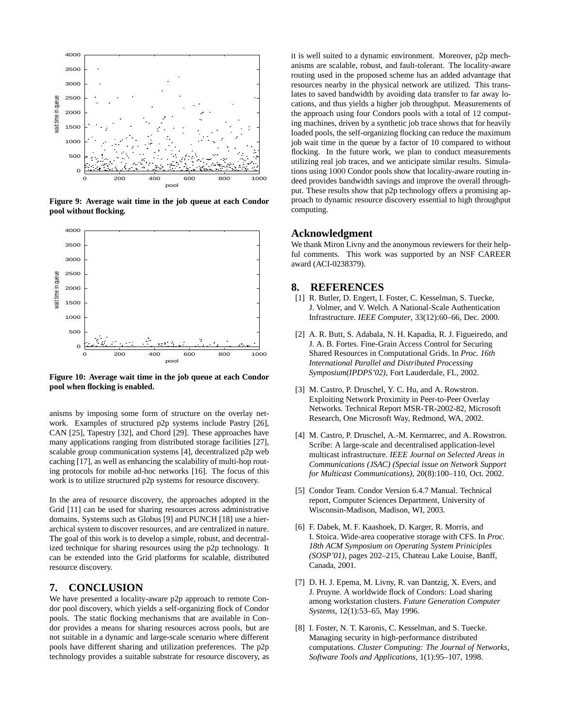

**Figure 9: Average wait time in the job queue at each Condor pool without flocking.**



**Figure 10: Average wait time in the job queue at each Condor pool when flocking is enabled.**

anisms by imposing some form of structure on the overlay network. Examples of structured p2p systems include Pastry [26], CAN [25], Tapestry [32], and Chord [29]. These approaches have many applications ranging from distributed storage facilities [27], scalable group communication systems [4], decentralized p2p web caching [17], as well as enhancing the scalability of multi-hop routing protocols for mobile ad-hoc networks [16]. The focus of this work is to utilize structured p2p systems for resource discovery.

In the area of resource discovery, the approaches adopted in the Grid [11] can be used for sharing resources across administrative domains. Systems such as Globus [9] and PUNCH [18] use a hierarchical system to discover resources, and are centralized in nature. The goal of this work is to develop a simple, robust, and decentralized technique for sharing resources using the p2p technology. It can be extended into the Grid platforms for scalable, distributed resource discovery.

# **7. CONCLUSION**

We have presented a locality-aware p2p approach to remote Condor pool discovery, which yields a self-organizing flock of Condor pools. The static flocking mechanisms that are available in Condor provides a means for sharing resources across pools, but are not suitable in a dynamic and large-scale scenario where different pools have different sharing and utilization preferences. The p2p technology provides a suitable substrate for resource discovery, as it is well suited to a dynamic environment. Moreover, p2p mechanisms are scalable, robust, and fault-tolerant. The locality-aware routing used in the proposed scheme has an added advantage that resources nearby in the physical network are utilized. This translates to saved bandwidth by avoiding data transfer to far away locations, and thus yields a higher job throughput. Measurements of the approach using four Condors pools with a total of 12 computing machines, driven by a synthetic job trace shows that for heavily loaded pools, the self-organizing flocking can reduce the maximum job wait time in the queue by a factor of 10 compared to without flocking. In the future work, we plan to conduct measurements utilizing real job traces, and we anticipate similar results. Simulations using 1000 Condor pools show that locality-aware routing indeed provides bandwidth savings and improve the overall throughput. These results show that p2p technology offers a promising approach to dynamic resource discovery essential to high throughput computing.

#### **Acknowledgment**

We thank Miron Livny and the anonymous reviewers for their helpful comments. This work was supported by an NSF CAREER award (ACI-0238379).

### **8. REFERENCES**

- [1] R. Butler, D. Engert, I. Foster, C. Kesselman, S. Tuecke, J. Volmer, and V. Welch. A National-Scale Authentication Infrastructure. *IEEE Computer*, 33(12):60–66, Dec. 2000.
- [2] A. R. Butt, S. Adabala, N. H. Kapadia, R. J. Figueiredo, and J. A. B. Fortes. Fine-Grain Access Control for Securing Shared Resources in Computational Grids. In *Proc. 16th International Parallel and Distributed Processing Symposium(IPDPS'02)*, Fort Lauderdale, FL, 2002.
- [3] M. Castro, P. Druschel, Y. C. Hu, and A. Rowstron. Exploiting Network Proximity in Peer-to-Peer Overlay Networks. Technical Report MSR-TR-2002-82, Microsoft Research, One Microsoft Way, Redmond, WA, 2002.
- [4] M. Castro, P. Druschel, A.-M. Kermarrec, and A. Rowstron. Scribe: A large-scale and decentralised application-level multicast infrastructure. *IEEE Journal on Selected Areas in Communications (JSAC) (Special issue on Network Support for Multicast Communications)*, 20(8):100–110, Oct. 2002.
- [5] Condor Team. Condor Version 6.4.7 Manual. Technical report, Computer Sciences Department, University of Wisconsin-Madison, Madison, WI, 2003.
- [6] F. Dabek, M. F. Kaashoek, D. Karger, R. Morris, and I. Stoica. Wide-area cooperative storage with CFS. In *Proc. 18th ACM Symposium on Operating System Priniciples (SOSP'01)*, pages 202–215, Chateau Lake Louise, Banff, Canada, 2001.
- [7] D. H. J. Epema, M. Livny, R. van Dantzig, X. Evers, and J. Pruyne. A worldwide flock of Condors: Load sharing among workstation clusters. *Future Generation Computer Systems*, 12(1):53–65, May 1996.
- [8] I. Foster, N. T. Karonis, C. Kesselman, and S. Tuecke. Managing security in high-performance distributed computations. *Cluster Computing: The Journal of Networks, Software Tools and Applications*, 1(1):95–107, 1998.